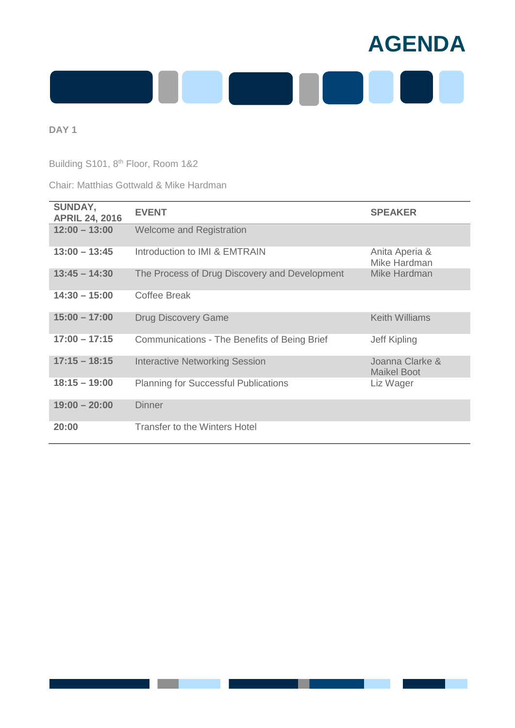

Building S101, 8<sup>th</sup> Floor, Room 1&2

## Chair: Matthias Gottwald & Mike Hardman

| SUNDAY,<br><b>APRIL 24, 2016</b> | <b>EVENT</b>                                  | <b>SPEAKER</b>                        |
|----------------------------------|-----------------------------------------------|---------------------------------------|
| $12:00 - 13:00$                  | <b>Welcome and Registration</b>               |                                       |
| $13:00 - 13:45$                  | Introduction to IMI & EMTRAIN                 | Anita Aperia &<br>Mike Hardman        |
| $13:45 - 14:30$                  | The Process of Drug Discovery and Development | Mike Hardman                          |
| $14:30 - 15:00$                  | <b>Coffee Break</b>                           |                                       |
| $15:00 - 17:00$                  | <b>Drug Discovery Game</b>                    | <b>Keith Williams</b>                 |
| $17:00 - 17:15$                  | Communications - The Benefits of Being Brief  | Jeff Kipling                          |
| $17:15 - 18:15$                  | <b>Interactive Networking Session</b>         | Joanna Clarke &<br><b>Maikel Boot</b> |
| $18:15 - 19:00$                  | <b>Planning for Successful Publications</b>   | Liz Wager                             |
| $19:00 - 20:00$                  | <b>Dinner</b>                                 |                                       |
| 20:00                            | <b>Transfer to the Winters Hotel</b>          |                                       |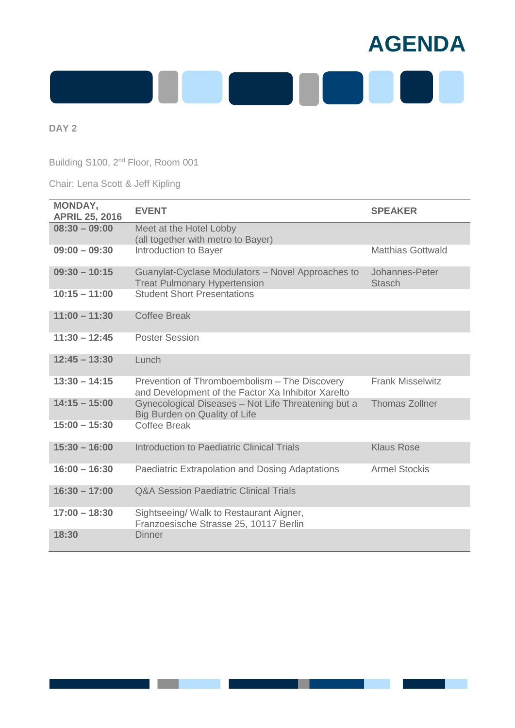

Building S100, 2<sup>nd</sup> Floor, Room 001

Chair: Lena Scott & Jeff Kipling

| MONDAY,<br><b>APRIL 25, 2016</b> | <b>EVENT</b>                                                                                        | <b>SPEAKER</b>                  |
|----------------------------------|-----------------------------------------------------------------------------------------------------|---------------------------------|
| $08:30 - 09:00$                  | Meet at the Hotel Lobby<br>(all together with metro to Bayer)                                       |                                 |
| $09:00 - 09:30$                  | Introduction to Bayer                                                                               | <b>Matthias Gottwald</b>        |
| $09:30 - 10:15$                  | Guanylat-Cyclase Modulators - Novel Approaches to<br><b>Treat Pulmonary Hypertension</b>            | Johannes-Peter<br><b>Stasch</b> |
| $10:15 - 11:00$                  | <b>Student Short Presentations</b>                                                                  |                                 |
| $11:00 - 11:30$                  | <b>Coffee Break</b>                                                                                 |                                 |
| $11:30 - 12:45$                  | <b>Poster Session</b>                                                                               |                                 |
| $12:45 - 13:30$                  | Lunch                                                                                               |                                 |
| $13:30 - 14:15$                  | Prevention of Thromboembolism - The Discovery<br>and Development of the Factor Xa Inhibitor Xarelto | <b>Frank Misselwitz</b>         |
| $14:15 - 15:00$                  | Gynecological Diseases - Not Life Threatening but a<br>Big Burden on Quality of Life                | <b>Thomas Zollner</b>           |
| $15:00 - 15:30$                  | <b>Coffee Break</b>                                                                                 |                                 |
| $15:30 - 16:00$                  | Introduction to Paediatric Clinical Trials                                                          | <b>Klaus Rose</b>               |
| $16:00 - 16:30$                  | Paediatric Extrapolation and Dosing Adaptations                                                     | <b>Armel Stockis</b>            |
| $16:30 - 17:00$                  | <b>Q&amp;A Session Paediatric Clinical Trials</b>                                                   |                                 |
| $17:00 - 18:30$                  | Sightseeing/ Walk to Restaurant Aigner,<br>Franzoesische Strasse 25, 10117 Berlin                   |                                 |
| 18:30                            | <b>Dinner</b>                                                                                       |                                 |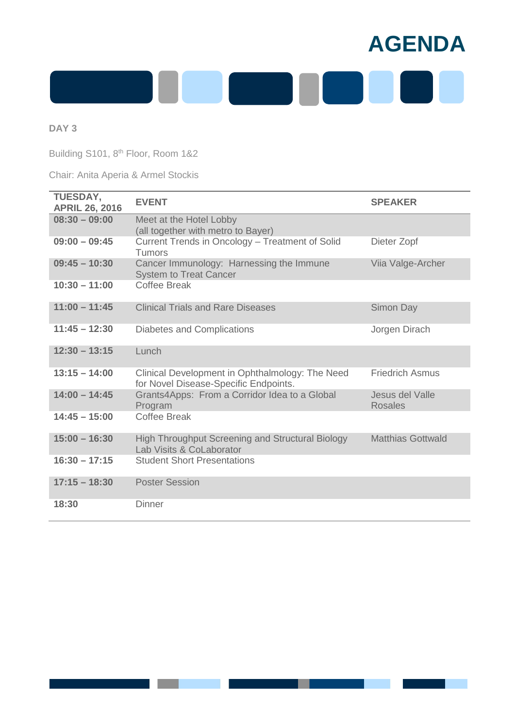

Building S101, 8<sup>th</sup> Floor, Room 1&2

Chair: Anita Aperia & Armel Stockis

| <b>TUESDAY,</b><br><b>APRIL 26, 2016</b> | <b>EVENT</b>                                                                             | <b>SPEAKER</b>                    |
|------------------------------------------|------------------------------------------------------------------------------------------|-----------------------------------|
| $08:30 - 09:00$                          | Meet at the Hotel Lobby<br>(all together with metro to Bayer)                            |                                   |
| $09:00 - 09:45$                          | Current Trends in Oncology - Treatment of Solid<br>Tumors                                | Dieter Zopf                       |
| $09:45 - 10:30$                          | Cancer Immunology: Harnessing the Immune<br><b>System to Treat Cancer</b>                | Viia Valge-Archer                 |
| $10:30 - 11:00$                          | <b>Coffee Break</b>                                                                      |                                   |
| $11:00 - 11:45$                          | <b>Clinical Trials and Rare Diseases</b>                                                 | Simon Day                         |
| $11:45 - 12:30$                          | Diabetes and Complications                                                               | Jorgen Dirach                     |
| $12:30 - 13:15$                          | Lunch                                                                                    |                                   |
| $13:15 - 14:00$                          | Clinical Development in Ophthalmology: The Need<br>for Novel Disease-Specific Endpoints. | <b>Friedrich Asmus</b>            |
| $14:00 - 14:45$                          | Grants4Apps: From a Corridor Idea to a Global<br>Program                                 | Jesus del Valle<br><b>Rosales</b> |
| $14:45 - 15:00$                          | <b>Coffee Break</b>                                                                      |                                   |
| $15:00 - 16:30$                          | High Throughput Screening and Structural Biology<br>Lab Visits & CoLaborator             | <b>Matthias Gottwald</b>          |
| $16:30 - 17:15$                          | <b>Student Short Presentations</b>                                                       |                                   |
| $17:15 - 18:30$                          | <b>Poster Session</b>                                                                    |                                   |
| 18:30                                    | <b>Dinner</b>                                                                            |                                   |